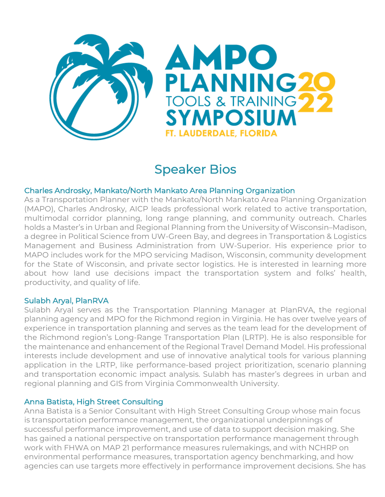

# Speaker Bios

# Charles Androsky, Mankato/North Mankato Area Planning Organization

As a Transportation Planner with the Mankato/North Mankato Area Planning Organization (MAPO), Charles Androsky, AICP leads professional work related to active transportation, multimodal corridor planning, long range planning, and community outreach. Charles holds a Master's in Urban and Regional Planning from the University of Wisconsin–Madison, a degree in Political Science from UW-Green Bay, and degrees in Transportation & Logistics Management and Business Administration from UW-Superior. His experience prior to MAPO includes work for the MPO servicing Madison, Wisconsin, community development for the State of Wisconsin, and private sector logistics. He is interested in learning more about how land use decisions impact the transportation system and folks' health, productivity, and quality of life.

# Sulabh Aryal, PlanRVA

Sulabh Aryal serves as the Transportation Planning Manager at PlanRVA, the regional planning agency and MPO for the Richmond region in Virginia. He has over twelve years of experience in transportation planning and serves as the team lead for the development of the Richmond region's Long-Range Transportation Plan (LRTP). He is also responsible for the maintenance and enhancement of the Regional Travel Demand Model. His professional interests include development and use of innovative analytical tools for various planning application in the LRTP, like performance-based project prioritization, scenario planning and transportation economic impact analysis. Sulabh has master's degrees in urban and regional planning and GIS from Virginia Commonwealth University.

# Anna Batista, High Street Consulting

Anna Batista is a Senior Consultant with High Street Consulting Group whose main focus is transportation performance management, the organizational underpinnings of successful performance improvement, and use of data to support decision making. She has gained a national perspective on transportation performance management through work with FHWA on MAP 21 performance measures rulemakings, and with NCHRP on environmental performance measures, transportation agency benchmarking, and how agencies can use targets more effectively in performance improvement decisions. She has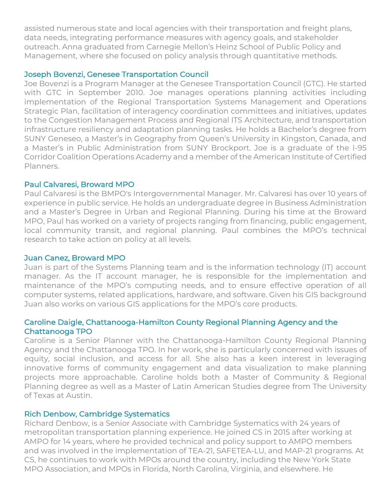assisted numerous state and local agencies with their transportation and freight plans, data needs, integrating performance measures with agency goals, and stakeholder outreach. Anna graduated from Carnegie Mellon's Heinz School of Public Policy and Management, where she focused on policy analysis through quantitative methods.

## Joseph Bovenzi, Genesee Transportation Council

Joe Bovenzi is a Program Manager at the Genesee Transportation Council (GTC). He started with GTC in September 2010. Joe manages operations planning activities including implementation of the Regional Transportation Systems Management and Operations Strategic Plan, facilitation of interagency coordination committees and initiatives, updates to the Congestion Management Process and Regional ITS Architecture, and transportation infrastructure resiliency and adaptation planning tasks. He holds a Bachelor's degree from SUNY Geneseo, a Master's in Geography from Queen's University in Kingston, Canada, and a Master's in Public Administration from SUNY Brockport. Joe is a graduate of the I-95 Corridor Coalition Operations Academy and a member of the American Institute of Certified Planners.

# Paul Calvaresi, Broward MPO

Paul Calvaresi is the BMPO's Intergovernmental Manager. Mr. Calvaresi has over 10 years of experience in public service. He holds an undergraduate degree in Business Administration and a Master's Degree in Urban and Regional Planning. During his time at the Broward MPO, Paul has worked on a variety of projects ranging from financing, public engagement, local community transit, and regional planning. Paul combines the MPO's technical research to take action on policy at all levels.

#### Juan Canez, Broward MPO

Juan is part of the Systems Planning team and is the information technology (IT) account manager. As the IT account manager, he is responsible for the implementation and maintenance of the MPO's computing needs, and to ensure effective operation of all computer systems, related applications, hardware, and software. Given his GIS background Juan also works on various GIS applications for the MPO's core products.

# Caroline Daigle, Chattanooga-Hamilton County Regional Planning Agency and the Chattanooga TPO

Caroline is a Senior Planner with the Chattanooga-Hamilton County Regional Planning Agency and the Chattanooga TPO. In her work, she is particularly concerned with issues of equity, social inclusion, and access for all. She also has a keen interest in leveraging innovative forms of community engagement and data visualization to make planning projects more approachable. Caroline holds both a Master of Community & Regional Planning degree as well as a Master of Latin American Studies degree from The University of Texas at Austin.

# Rich Denbow, Cambridge Systematics

Richard Denbow, is a Senior Associate with Cambridge Systematics with 24 years of metropolitan transportation planning experience. He joined CS in 2015 after working at AMPO for 14 years, where he provided technical and policy support to AMPO members and was involved in the implementation of TEA-21, SAFETEA-LU, and MAP-21 programs. At CS, he continues to work with MPOs around the country, including the New York State MPO Association, and MPOs in Florida, North Carolina, Virginia, and elsewhere. He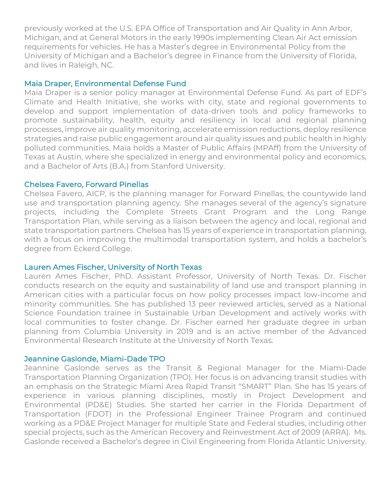previously worked at the U.S. EPA Office of Transportation and Air Quality in Ann Arbor, Michigan, and at General Motors in the early 1990s implementing Clean Air Act emission requirements for vehicles. He has a Master's degree in Environmental Policy from the University of Michigan and a Bachelor's degree in Finance from the University of Florida, and lives in Raleigh, NC.

## Maia Draper, Environmental Defense Fund

Maia Draper is a senior policy manager at Environmental Defense Fund. As part of EDF's Climate and Health Initiative, she works with city, state and regional governments to develop and support implementation of data-driven tools and policy frameworks to promote sustainability, health, equity and resiliency in local and regional planning processes, improve air quality monitoring, accelerate emission reductions, deploy resilience strategies and raise public engagement around air quality issues and public health in highly polluted communities. Maia holds a Master of Public Affairs (MPAff) from the University of Texas at Austin, where she specialized in energy and environmental policy and economics, and a Bachelor of Arts (B.A.) from Stanford University.

#### Chelsea Favero, Forward Pinellas

Chelsea Favero, AICP, is the planning manager for Forward Pinellas, the countywide land use and transportation planning agency. She manages several of the agency's signature projects, including the Complete Streets Grant Program and the Long Range Transportation Plan, while serving as a liaison between the agency and local, regional and state transportation partners. Chelsea has 15 years of experience in transportation planning, with a focus on improving the multimodal transportation system, and holds a bachelor's degree from Eckerd College.

#### Lauren Ames Fischer, University of North Texas

Lauren Ames Fischer, PhD. Assistant Professor, University of North Texas. Dr. Fischer conducts research on the equity and sustainability of land use and transport planning in American cities with a particular focus on how policy processes impact low-income and minority communities. She has published 13 peer reviewed articles, served as a National Science Foundation trainee in Sustainable Urban Development and actively works with local communities to foster change. Dr. Fischer earned her graduate degree in urban planning from Columbia University in 2019 and is an active member of the Advanced Environmental Research Institute at the University of North Texas.

#### Jeannine Gaslonde, Miami-Dade TPO

Jeannine Gaslonde serves as the Transit & Regional Manager for the Miami-Dade Transportation Planning Organization (TPO). Her focus is on advancing transit studies with an emphasis on the Strategic Miami Area Rapid Transit "SMART" Plan. She has 15 years of experience in various planning disciplines, mostly in Project Development and Environmental (PD&E) Studies. She started her carrier in the Florida Department of Transportation (FDOT) in the Professional Engineer Trainee Program and continued working as a PD&E Project Manager for multiple State and Federal studies, including other special projects, such as the American Recovery and Reinvestment Act of 2009 (ARRA). Ms. Gaslonde received a Bachelor's degree in Civil Engineering from Florida Atlantic University.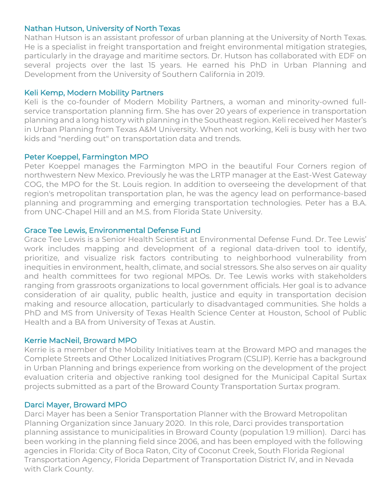# Nathan Hutson, University of North Texas

Nathan Hutson is an assistant professor of urban planning at the University of North Texas. He is a specialist in freight transportation and freight environmental mitigation strategies, particularly in the drayage and maritime sectors. Dr. Hutson has collaborated with EDF on several projects over the last 15 years. He earned his PhD in Urban Planning and Development from the University of Southern California in 2019.

#### Keli Kemp, Modern Mobility Partners

Keli is the co-founder of Modern Mobility Partners, a woman and minority-owned fullservice transportation planning firm. She has over 20 years of experience in transportation planning and a long history with planning in the Southeast region. Keli received her Master's in Urban Planning from Texas A&M University. When not working, Keli is busy with her two kids and "nerding out" on transportation data and trends.

## Peter Koeppel, Farmington MPO

Peter Koeppel manages the Farmington MPO in the beautiful Four Corners region of northwestern New Mexico. Previously he was the LRTP manager at the East-West Gateway COG, the MPO for the St. Louis region. In addition to overseeing the development of that region's metropolitan transportation plan, he was the agency lead on performance-based planning and programming and emerging transportation technologies. Peter has a B.A. from UNC-Chapel Hill and an M.S. from Florida State University.

## Grace Tee Lewis, Environmental Defense Fund

Grace Tee Lewis is a Senior Health Scientist at Environmental Defense Fund. Dr. Tee Lewis' work includes mapping and development of a regional data-driven tool to identify, prioritize, and visualize risk factors contributing to neighborhood vulnerability from inequities in environment, health, climate, and social stressors. She also serves on air quality and health committees for two regional MPOs. Dr. Tee Lewis works with stakeholders ranging from grassroots organizations to local government officials. Her goal is to advance consideration of air quality, public health, justice and equity in transportation decision making and resource allocation, particularly to disadvantaged communities. She holds a PhD and MS from University of Texas Health Science Center at Houston, School of Public Health and a BA from University of Texas at Austin.

#### Kerrie MacNeil, Broward MPO

Kerrie is a member of the Mobility Initiatives team at the Broward MPO and manages the Complete Streets and Other Localized Initiatives Program (CSLIP). Kerrie has a background in Urban Planning and brings experience from working on the development of the project evaluation criteria and objective ranking tool designed for the Municipal Capital Surtax projects submitted as a part of the Broward County Transportation Surtax program.

# Darci Mayer, Broward MPO

Darci Mayer has been a Senior Transportation Planner with the Broward Metropolitan Planning Organization since January 2020. In this role, Darci provides transportation planning assistance to municipalities in Broward County (population 1.9 million). Darci has been working in the planning field since 2006, and has been employed with the following agencies in Florida: City of Boca Raton, City of Coconut Creek, South Florida Regional Transportation Agency, Florida Department of Transportation District IV, and in Nevada with Clark County.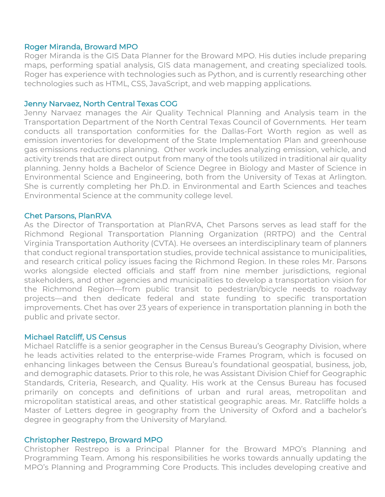#### Roger Miranda, Broward MPO

Roger Miranda is the GIS Data Planner for the Broward MPO. His duties include preparing maps, performing spatial analysis, GIS data management, and creating specialized tools. Roger has experience with technologies such as Python, and is currently researching other technologies such as HTML, CSS, JavaScript, and web mapping applications.

#### Jenny Narvaez, North Central Texas COG

Jenny Narvaez manages the Air Quality Technical Planning and Analysis team in the Transportation Department of the North Central Texas Council of Governments. Her team conducts all transportation conformities for the Dallas-Fort Worth region as well as emission inventories for development of the State Implementation Plan and greenhouse gas emissions reductions planning. Other work includes analyzing emission, vehicle, and activity trends that are direct output from many of the tools utilized in traditional air quality planning. Jenny holds a Bachelor of Science Degree in Biology and Master of Science in Environmental Science and Engineering, both from the University of Texas at Arlington. She is currently completing her Ph.D. in Environmental and Earth Sciences and teaches Environmental Science at the community college level.

## Chet Parsons, PlanRVA

As the Director of Transportation at PlanRVA, Chet Parsons serves as lead staff for the Richmond Regional Transportation Planning Organization (RRTPO) and the Central Virginia Transportation Authority (CVTA). He oversees an interdisciplinary team of planners that conduct regional transportation studies, provide technical assistance to municipalities, and research critical policy issues facing the Richmond Region. In these roles Mr. Parsons works alongside elected officials and staff from nine member jurisdictions, regional stakeholders, and other agencies and municipalities to develop a transportation vision for the Richmond Region—from public transit to pedestrian/bicycle needs to roadway projects—and then dedicate federal and state funding to specific transportation improvements. Chet has over 23 years of experience in transportation planning in both the public and private sector.

#### Michael Ratcliff, US Census

Michael Ratcliffe is a senior geographer in the Census Bureau's Geography Division, where he leads activities related to the enterprise-wide Frames Program, which is focused on enhancing linkages between the Census Bureau's foundational geospatial, business, job, and demographic datasets. Prior to this role, he was Assistant Division Chief for Geographic Standards, Criteria, Research, and Quality. His work at the Census Bureau has focused primarily on concepts and definitions of urban and rural areas, metropolitan and micropolitan statistical areas, and other statistical geographic areas. Mr. Ratcliffe holds a Master of Letters degree in geography from the University of Oxford and a bachelor's degree in geography from the University of Maryland.

#### Christopher Restrepo, Broward MPO

Christopher Restrepo is a Principal Planner for the Broward MPO's Planning and Programming Team. Among his responsibilities he works towards annually updating the MPO's Planning and Programming Core Products. This includes developing creative and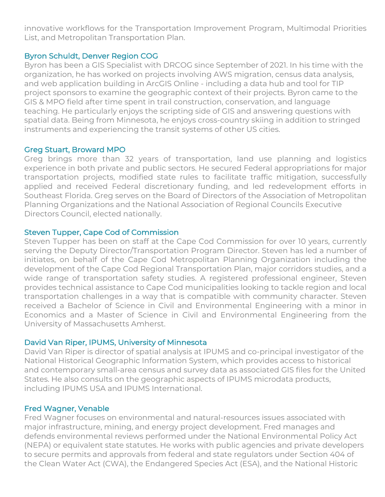innovative workflows for the Transportation Improvement Program, Multimodal Priorities List, and Metropolitan Transportation Plan.

# Byron Schuldt, Denver Region COG

Byron has been a GIS Specialist with DRCOG since September of 2021. In his time with the organization, he has worked on projects involving AWS migration, census data analysis, and web application building in ArcGIS Online - including a data hub and tool for TIP project sponsors to examine the geographic context of their projects. Byron came to the GIS & MPO field after time spent in trail construction, conservation, and language teaching. He particularly enjoys the scripting side of GIS and answering questions with spatial data. Being from Minnesota, he enjoys cross-country skiing in addition to stringed instruments and experiencing the transit systems of other US cities.

# Greg Stuart, Broward MPO

Greg brings more than 32 years of transportation, land use planning and logistics experience in both private and public sectors. He secured Federal appropriations for major transportation projects, modified state rules to facilitate traffic mitigation, successfully applied and received Federal discretionary funding, and led redevelopment efforts in Southeast Florida. Greg serves on the Board of Directors of the Association of Metropolitan Planning Organizations and the National Association of Regional Councils Executive Directors Council, elected nationally.

# Steven Tupper, Cape Cod of Commission

Steven Tupper has been on staff at the Cape Cod Commission for over 10 years, currently serving the Deputy Director/Transportation Program Director. Steven has led a number of initiates, on behalf of the Cape Cod Metropolitan Planning Organization including the development of the Cape Cod Regional Transportation Plan, major corridors studies, and a wide range of transportation safety studies. A registered professional engineer, Steven provides technical assistance to Cape Cod municipalities looking to tackle region and local transportation challenges in a way that is compatible with community character. Steven received a Bachelor of Science in Civil and Environmental Engineering with a minor in Economics and a Master of Science in Civil and Environmental Engineering from the University of Massachusetts Amherst.

# David Van Riper, IPUMS, University of Minnesota

David Van Riper is director of spatial analysis at IPUMS and co-principal investigator of the National Historical Geographic Information System, which provides access to historical and contemporary small-area census and survey data as associated GIS files for the United States. He also consults on the geographic aspects of IPUMS microdata products, including IPUMS USA and IPUMS International.

# Fred Wagner, Venable

Fred Wagner focuses on environmental and natural-resources issues associated with major infrastructure, mining, and energy project development. Fred manages and defends environmental reviews performed under the National Environmental Policy Act (NEPA) or equivalent state statutes. He works with public agencies and private developers to secure permits and approvals from federal and state regulators under Section 404 of the Clean Water Act (CWA), the Endangered Species Act (ESA), and the National Historic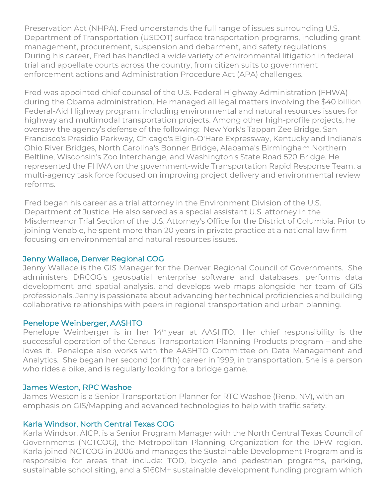Preservation Act (NHPA). Fred understands the full range of issues surrounding U.S. Department of Transportation (USDOT) surface transportation programs, including grant management, procurement, suspension and debarment, and safety regulations. During his career, Fred has handled a wide variety of environmental litigation in federal trial and appellate courts across the country, from citizen suits to government enforcement actions and Administration Procedure Act (APA) challenges.

Fred was appointed chief counsel of the U.S. Federal Highway Administration (FHWA) during the Obama administration. He managed all legal matters involving the \$40 billion Federal-Aid Highway program, including environmental and natural resources issues for highway and multimodal transportation projects. Among other high-profile projects, he oversaw the agency's defense of the following: New York's Tappan Zee Bridge, San Francisco's Presidio Parkway, Chicago's Elgin-O'Hare Expressway, Kentucky and Indiana's Ohio River Bridges, North Carolina's Bonner Bridge, Alabama's Birmingham Northern Beltline, Wisconsin's Zoo Interchange, and Washington's State Road 520 Bridge. He represented the FHWA on the government-wide Transportation Rapid Response Team, a multi-agency task force focused on improving project delivery and environmental review reforms.

Fred began his career as a trial attorney in the Environment Division of the U.S. Department of Justice. He also served as a special assistant U.S. attorney in the Misdemeanor Trial Section of the U.S. Attorney's Office for the District of Columbia. Prior to joining Venable, he spent more than 20 years in private practice at a national law firm focusing on environmental and natural resources issues.

# Jenny Wallace, Denver Regional COG

Jenny Wallace is the GIS Manager for the Denver Regional Council of Governments. She administers DRCOG's geospatial enterprise software and databases, performs data development and spatial analysis, and develops web maps alongside her team of GIS professionals. Jenny is passionate about advancing her technical proficiencies and building collaborative relationships with peers in regional transportation and urban planning.

#### Penelope Weinberger, AASHTO

Penelope Weinberger is in her 14<sup>th</sup> year at AASHTO. Her chief responsibility is the successful operation of the Census Transportation Planning Products program – and she loves it. Penelope also works with the AASHTO Committee on Data Management and Analytics. She began her second (or fifth) career in 1999, in transportation. She is a person who rides a bike, and is regularly looking for a bridge game.

#### James Weston, RPC Washoe

James Weston is a Senior Transportation Planner for RTC Washoe (Reno, NV), with an emphasis on GIS/Mapping and advanced technologies to help with traffic safety.

# Karla Windsor, North Central Texas COG

Karla Windsor, AICP, is a Senior Program Manager with the North Central Texas Council of Governments (NCTCOG), the Metropolitan Planning Organization for the DFW region. Karla joined NCTCOG in 2006 and manages the Sustainable Development Program and is responsible for areas that include: TOD, bicycle and pedestrian programs, parking, sustainable school siting, and a \$160M+ sustainable development funding program which